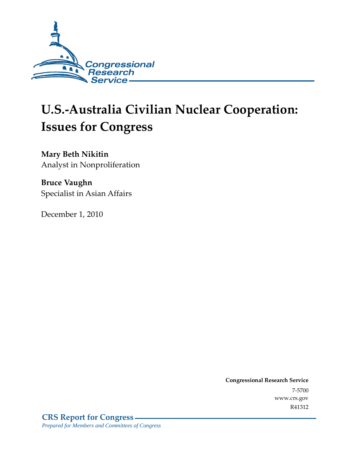

# **U.S.-Australia Civilian Nuclear Cooperation: Issues for Congress**

**Mary Beth Nikitin**  Analyst in Nonproliferation

**Bruce Vaughn**  Specialist in Asian Affairs

December 1, 2010

**Congressional Research Service** 7-5700 www.crs.gov R41312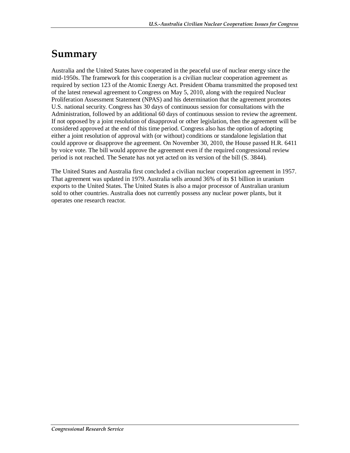# **Summary**

Australia and the United States have cooperated in the peaceful use of nuclear energy since the mid-1950s. The framework for this cooperation is a civilian nuclear cooperation agreement as required by section 123 of the Atomic Energy Act. President Obama transmitted the proposed text of the latest renewal agreement to Congress on May 5, 2010, along with the required Nuclear Proliferation Assessment Statement (NPAS) and his determination that the agreement promotes U.S. national security. Congress has 30 days of continuous session for consultations with the Administration, followed by an additional 60 days of continuous session to review the agreement. If not opposed by a joint resolution of disapproval or other legislation, then the agreement will be considered approved at the end of this time period. Congress also has the option of adopting either a joint resolution of approval with (or without) conditions or standalone legislation that could approve or disapprove the agreement. On November 30, 2010, the House passed H.R. 6411 by voice vote. The bill would approve the agreement even if the required congressional review period is not reached. The Senate has not yet acted on its version of the bill (S. 3844).

The United States and Australia first concluded a civilian nuclear cooperation agreement in 1957. That agreement was updated in 1979. Australia sells around 36% of its \$1 billion in uranium exports to the United States. The United States is also a major processor of Australian uranium sold to other countries. Australia does not currently possess any nuclear power plants, but it operates one research reactor.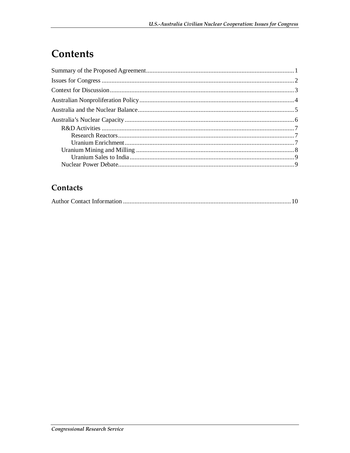# **Contents**

#### Contacts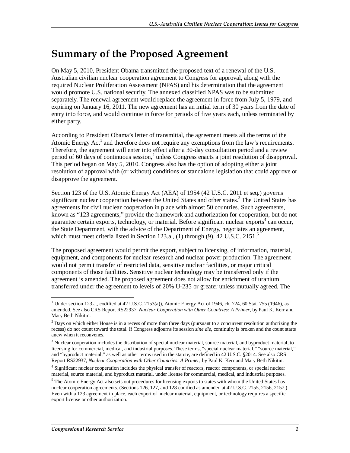# **Summary of the Proposed Agreement**

On May 5, 2010, President Obama transmitted the proposed text of a renewal of the U.S.- Australian civilian nuclear cooperation agreement to Congress for approval, along with the required Nuclear Proliferation Assessment (NPAS) and his determination that the agreement would promote U.S. national security. The annexed classified NPAS was to be submitted separately. The renewal agreement would replace the agreement in force from July 5, 1979, and expiring on January 16, 2011. The new agreement has an initial term of 30 years from the date of entry into force, and would continue in force for periods of five years each, unless terminated by either party.

According to President Obama's letter of transmittal, the agreement meets all the terms of the Atomic Energy  $Act<sup>1</sup>$  and therefore does not require any exemptions from the law's requirements. Therefore, the agreement will enter into effect after a 30-day consultation period and a review period of 60 days of continuous session,<sup>2</sup> unless Congress enacts a joint resolution of disapproval. This period began on May 5, 2010. Congress also has the option of adopting either a joint resolution of approval with (or without) conditions or standalone legislation that could approve or disapprove the agreement.

Section 123 of the U.S. Atomic Energy Act (AEA) of 1954 (42 U.S.C. 2011 et seq.) governs significant nuclear cooperation between the United States and other states.<sup>3</sup> The United States has agreements for civil nuclear cooperation in place with almost 50 countries. Such agreements, known as "123 agreements," provide the framework and authorization for cooperation, but do not guarantee certain exports, technology, or material. Before significant nuclear exports<sup>4</sup> can occur, the State Department, with the advice of the Department of Energy, negotiates an agreement, which must meet criteria listed in Section 123.a.,  $(1)$  through  $(9)$ , 42 U.S.C. 2151.<sup>5</sup>

The proposed agreement would permit the export, subject to licensing, of information, material, equipment, and components for nuclear research and nuclear power production. The agreement would not permit transfer of restricted data, sensitive nuclear facilities, or major critical components of those facilities. Sensitive nuclear technology may be transferred only if the agreement is amended. The proposed agreement does not allow for enrichment of uranium transferred under the agreement to levels of 20% U-235 or greater unless mutually agreed. The

<sup>-</sup><sup>1</sup> Under section 123.a., codified at 42 U.S.C. 2153(a)), Atomic Energy Act of 1946, ch. 724, 60 Stat. 755 (1946), as amended. See also CRS Report RS22937, *Nuclear Cooperation with Other Countries: A Primer*, by Paul K. Kerr and Mary Beth Nikitin.

 $2$  Days on which either House is in a recess of more than three days (pursuant to a concurrent resolution authorizing the recess) do not count toward the total. If Congress adjourns its session *sine die*, continuity is broken and the count starts anew when it reconvenes.

<sup>&</sup>lt;sup>3</sup> Nuclear cooperation includes the distribution of special nuclear material, source material, and byproduct material, to licensing for commercial, medical, and industrial purposes. These terms, "special nuclear material," "source material," and "byproduct material," as well as other terms used in the statute, are defined in 42 U.S.C. §2014. See also CRS Report RS22937, *Nuclear Cooperation with Other Countries: A Primer*, by Paul K. Kerr and Mary Beth Nikitin.

<sup>&</sup>lt;sup>4</sup> Significant nuclear cooperation includes the physical transfer of reactors, reactor components, or special nuclear material, source material, and byproduct material, under license for commercial, medical, and industrial purposes.

<sup>&</sup>lt;sup>5</sup> The Atomic Energy Act also sets out procedures for licensing exports to states with whom the United States has nuclear cooperation agreements. (Sections 126, 127, and 128 codified as amended at 42 U.S.C. 2155, 2156, 2157.) Even with a 123 agreement in place, each export of nuclear material, equipment, or technology requires a specific export license or other authorization.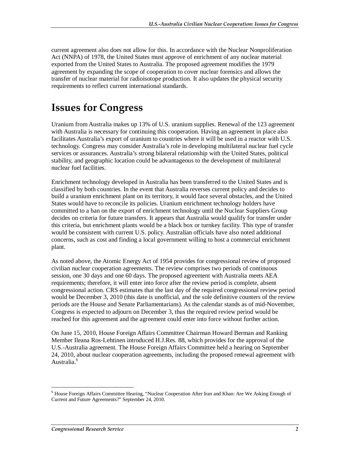current agreement also does not allow for this. In accordance with the Nuclear Nonproliferation Act (NNPA) of 1978, the United States must approve of enrichment of any nuclear material exported from the United States to Australia. The proposed agreement modifies the 1979 agreement by expanding the scope of cooperation to cover nuclear forensics and allows the transfer of nuclear material for radioisotope production. It also updates the physical security requirements to reflect current international standards.

### **Issues for Congress**

Uranium from Australia makes up 13% of U.S. uranium supplies. Renewal of the 123 agreement with Australia is necessary for continuing this cooperation. Having an agreement in place also facilitates Australia's export of uranium to countries where it will be used in a reactor with U.S. technology. Congress may consider Australia's role in developing multilateral nuclear fuel cycle services or assurances. Australia's strong bilateral relationship with the United States, political stability, and geographic location could be advantageous to the development of multilateral nuclear fuel facilities.

Enrichment technology developed in Australia has been transferred to the United States and is classified by both countries. In the event that Australia reverses current policy and decides to build a uranium enrichment plant on its territory, it would face several obstacles, and the United States would have to reconcile its policies. Uranium enrichment technology holders have committed to a ban on the export of enrichment technology until the Nuclear Suppliers Group decides on criteria for future transfers. It appears that Australia would qualify for transfer under this criteria, but enrichment plants would be a black box or turnkey facility. This type of transfer would be consistent with current U.S. policy. Australian officials have also noted additional concerns, such as cost and finding a local government willing to host a commercial enrichment plant.

As noted above, the Atomic Energy Act of 1954 provides for congressional review of proposed civilian nuclear cooperation agreements. The review comprises two periods of continuous session, one 30 days and one 60 days. The proposed agreement with Australia meets AEA requirements; therefore, it will enter into force after the review period is complete, absent congressional action. CRS estimates that the last day of the required congressional review period would be December 3, 2010 (this date is unofficial, and the sole definitive counters of the review periods are the House and Senate Parliamentarians). As the calendar stands as of mid-November, Congress is expected to adjourn on December 3, thus the required review period would be reached for this agreement and the agreement could enter into force without further action.

On June 15, 2010, House Foreign Affairs Committee Chairman Howard Berman and Ranking Member Ileana Ros-Lehtinen introduced H.J.Res. 88, which provides for the approval of the U.S.-Australia agreement. The House Foreign Affairs Committee held a hearing on September 24, 2010, about nuclear cooperation agreements, including the proposed renewal agreement with Australia.<sup>6</sup>

-

<sup>&</sup>lt;sup>6</sup> House Foreign Affairs Committee Hearing, "Nuclear Cooperation After Iran and Khan: Are We Asking Enough of Current and Future Agreements?" September 24, 2010.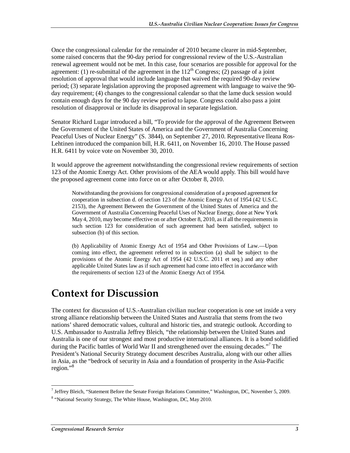Once the congressional calendar for the remainder of 2010 became clearer in mid-September, some raised concerns that the 90-day period for congressional review of the U.S.-Australian renewal agreement would not be met. In this case, four scenarios are possible for approval for the agreement: (1) re-submittal of the agreement in the  $112<sup>th</sup>$  Congress; (2) passage of a joint resolution of approval that would include language that waived the required 90-day review period; (3) separate legislation approving the proposed agreement with language to waive the 90 day requirement; (4) changes to the congressional calendar so that the lame duck session would contain enough days for the 90 day review period to lapse. Congress could also pass a joint resolution of disapproval or include its disapproval in separate legislation.

Senator Richard Lugar introduced a bill, "To provide for the approval of the Agreement Between the Government of the United States of America and the Government of Australia Concerning Peaceful Uses of Nuclear Energy" (S. 3844), on September 27, 2010. Representative Ileana Ros-Lehtinen introduced the companion bill, H.R. 6411, on November 16, 2010. The House passed H.R. 6411 by voice vote on November 30, 2010.

It would approve the agreement notwithstanding the congressional review requirements of section 123 of the Atomic Energy Act. Other provisions of the AEA would apply. This bill would have the proposed agreement come into force on or after October 8, 2010.

Notwithstanding the provisions for congressional consideration of a proposed agreement for cooperation in subsection d. of section 123 of the Atomic Energy Act of 1954 (42 U.S.C. 2153), the Agreement Between the Government of the United States of America and the Government of Australia Concerning Peaceful Uses of Nuclear Energy, done at New York May 4, 2010, may become effective on or after October 8, 2010, as if all the requirements in such section 123 for consideration of such agreement had been satisfied, subject to subsection (b) of this section.

(b) Applicability of Atomic Energy Act of 1954 and Other Provisions of Law.—Upon coming into effect, the agreement referred to in subsection (a) shall be subject to the provisions of the Atomic Energy Act of 1954 (42 U.S.C. 2011 et seq.) and any other applicable United States law as if such agreement had come into effect in accordance with the requirements of section 123 of the Atomic Energy Act of 1954.

### **Context for Discussion**

The context for discussion of U.S.-Australian civilian nuclear cooperation is one set inside a very strong alliance relationship between the United States and Australia that stems from the two nations' shared democratic values, cultural and historic ties, and strategic outlook. According to U.S. Ambassador to Australia Jeffrey Bleich, "the relationship between the United States and Australia is one of our strongest and most productive international alliances. It is a bond solidified during the Pacific battles of World War II and strengthened over the ensuing decades."<sup>7</sup> The President's National Security Strategy document describes Australia, along with our other allies in Asia, as the "bedrock of security in Asia and a foundation of prosperity in the Asia-Pacific region."<sup>8</sup>

 $\overline{a}$ 7 Jeffrey Bleich, "Statement Before the Senate Foreign Relations Committee," Washington, DC, November 5, 2009.

<sup>&</sup>lt;sup>8</sup> "National Security Strategy, The White House, Washington, DC, May 2010.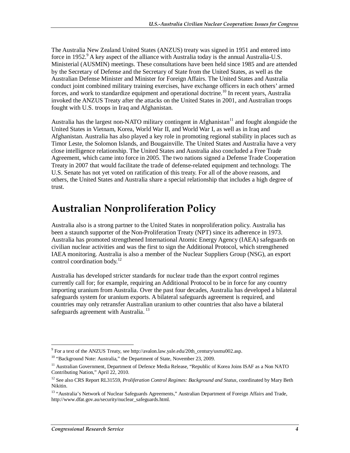The Australia New Zealand United States (ANZUS) treaty was signed in 1951 and entered into force in 1952.<sup>9</sup> A key aspect of the alliance with Australia today is the annual Australia-U.S. Ministerial (AUSMIN) meetings. These consultations have been held since 1985 and are attended by the Secretary of Defense and the Secretary of State from the United States, as well as the Australian Defense Minister and Minister for Foreign Affairs. The United States and Australia conduct joint combined military training exercises, have exchange officers in each others' armed forces, and work to standardize equipment and operational doctrine.<sup>10</sup> In recent years, Australia invoked the ANZUS Treaty after the attacks on the United States in 2001, and Australian troops fought with U.S. troops in Iraq and Afghanistan.

Australia has the largest non-NATO military contingent in Afghanistan<sup>11</sup> and fought alongside the United States in Vietnam, Korea, World War II, and World War I, as well as in Iraq and Afghanistan. Australia has also played a key role in promoting regional stability in places such as Timor Leste, the Solomon Islands, and Bougainville. The United States and Australia have a very close intelligence relationship. The United States and Australia also concluded a Free Trade Agreement, which came into force in 2005. The two nations signed a Defense Trade Cooperation Treaty in 2007 that would facilitate the trade of defense-related equipment and technology. The U.S. Senate has not yet voted on ratification of this treaty. For all of the above reasons, and others, the United States and Australia share a special relationship that includes a high degree of trust.

# **Australian Nonproliferation Policy**

Australia also is a strong partner to the United States in nonproliferation policy. Australia has been a staunch supporter of the Non-Proliferation Treaty (NPT) since its adherence in 1973. Australia has promoted strengthened International Atomic Energy Agency (IAEA) safeguards on civilian nuclear activities and was the first to sign the Additional Protocol, which strengthened IAEA monitoring. Australia is also a member of the Nuclear Suppliers Group (NSG), an export control coordination body. $^{12}$ 

Australia has developed stricter standards for nuclear trade than the export control regimes currently call for; for example, requiring an Additional Protocol to be in force for any country importing uranium from Australia. Over the past four decades, Australia has developed a bilateral safeguards system for uranium exports. A bilateral safeguards agreement is required, and countries may only retransfer Australian uranium to other countries that also have a bilateral safeguards agreement with Australia.<sup>13</sup>

 9 For a text of the ANZUS Treaty, see http://avalon.law.yale.edu/20th\_century/usmu002.asp.

<sup>&</sup>lt;sup>10</sup> "Background Note: Australia," the Department of State, November 23, 2009.

<sup>&</sup>lt;sup>11</sup> Australian Government, Department of Defence Media Release, "Republic of Korea Joins ISAF as a Non NATO Contributing Nation," April 22, 2010.

<sup>&</sup>lt;sup>12</sup> See also CRS Report RL31559, *Proliferation Control Regimes: Background and Status*, coordinated by Mary Beth Nikitin.

<sup>&</sup>lt;sup>13</sup> "Australia's Network of Nuclear Safeguards Agreements," Australian Department of Foreign Affairs and Trade, http://www.dfat.gov.au/security/nuclear\_safeguards.html.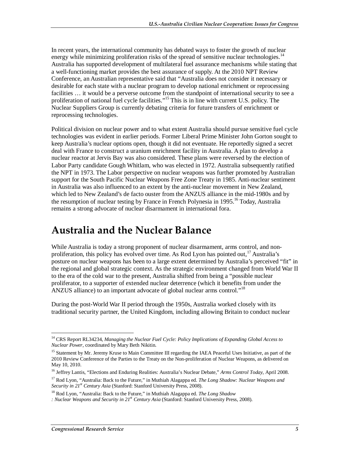In recent years, the international community has debated ways to foster the growth of nuclear energy while minimizing proliferation risks of the spread of sensitive nuclear technologies.<sup>14</sup> Australia has supported development of multilateral fuel assurance mechanisms while stating that a well-functioning market provides the best assurance of supply. At the 2010 NPT Review Conference, an Australian representative said that "Australia does not consider it necessary or desirable for each state with a nuclear program to develop national enrichment or reprocessing facilities ... it would be a perverse outcome from the standpoint of international security to see a proliferation of national fuel cycle facilities."<sup>15</sup> This is in line with current U.S. policy. The Nuclear Suppliers Group is currently debating criteria for future transfers of enrichment or reprocessing technologies.

Political division on nuclear power and to what extent Australia should pursue sensitive fuel cycle technologies was evident in earlier periods. Former Liberal Prime Minister John Gorton sought to keep Australia's nuclear options open, though it did not eventuate. He reportedly signed a secret deal with France to construct a uranium enrichment facility in Australia. A plan to develop a nuclear reactor at Jervis Bay was also considered. These plans were reversed by the election of Labor Party candidate Gough Whitlam, who was elected in 1972. Australia subsequently ratified the NPT in 1973. The Labor perspective on nuclear weapons was further promoted by Australian support for the South Pacific Nuclear Weapons Free Zone Treaty in 1985. Anti-nuclear sentiment in Australia was also influenced to an extent by the anti-nuclear movement in New Zealand, which led to New Zealand's de facto ouster from the ANZUS alliance in the mid-1980s and by the resumption of nuclear testing by France in French Polynesia in 1995.<sup>16</sup> Today, Australia remains a strong advocate of nuclear disarmament in international fora.

### **Australia and the Nuclear Balance**

While Australia is today a strong proponent of nuclear disarmament, arms control, and nonproliferation, this policy has evolved over time. As Rod Lyon has pointed out,  $^{17}$  Australia's posture on nuclear weapons has been to a large extent determined by Australia's perceived "fit" in the regional and global strategic context. As the strategic environment changed from World War II to the era of the cold war to the present, Australia shifted from being a "possible nuclear proliferator, to a supporter of extended nuclear deterrence (which it benefits from under the ANZUS alliance) to an important advocate of global nuclear arms control."<sup>18</sup>

During the post-World War II period through the 1950s, Australia worked closely with its traditional security partner, the United Kingdom, including allowing Britain to conduct nuclear

<sup>&</sup>lt;u>.</u> 14 CRS Report RL34234, *Managing the Nuclear Fuel Cycle: Policy Implications of Expanding Global Access to Nuclear Power*, coordinated by Mary Beth Nikitin.

<sup>&</sup>lt;sup>15</sup> Statement by Mr. Jeremy Kruse to Main Committee III regarding the IAEA Peaceful Uses Initiative, as part of the 2010 Review Conference of the Parties to the Treaty on the Non-proliferation of Nuclear Weapons, as delivered on May 10, 2010.

<sup>&</sup>lt;sup>16</sup> Jeffrey Lantis, "Elections and Enduring Realities: Australia's Nuclear Debate," Arms Control Today, April 2008.

<sup>17</sup> Rod Lyon, "Australia: Back to the Future," in Muthiah Alagappa ed. *The Long Shadow: Nuclear Weapons and Security in 21st Century Asia* (Stanford: Stanford University Press, 2008).

<sup>18</sup> Rod Lyon, "Australia: Back to the Future," in Muthiah Alagappa ed. *The Long Shadow* 

*<sup>:</sup> Nuclear Weapons and Security in 21st Century Asia* (Stanford: Stanford University Press, 2008).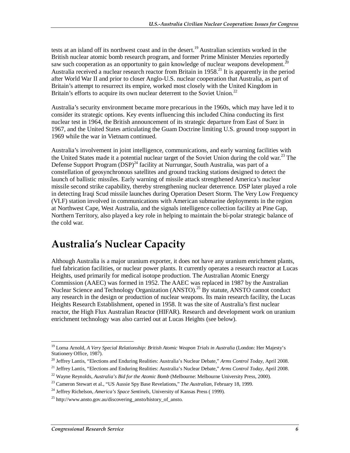tests at an island off its northwest coast and in the desert.<sup>19</sup> Australian scientists worked in the British nuclear atomic bomb research program, and former Prime Minister Menzies reportedly saw such cooperation as an opportunity to gain knowledge of nuclear weapons development.<sup>20</sup> Australia received a nuclear research reactor from Britain in  $1958<sup>21</sup>$  It is apparently in the period after World War II and prior to closer Anglo-U.S. nuclear cooperation that Australia, as part of Britain's attempt to resurrect its empire, worked most closely with the United Kingdom in Britain's efforts to acquire its own nuclear deterrent to the Soviet Union.<sup>22</sup>

Australia's security environment became more precarious in the 1960s, which may have led it to consider its strategic options. Key events influencing this included China conducting its first nuclear test in 1964, the British announcement of its strategic departure from East of Suez in 1967, and the United States articulating the Guam Doctrine limiting U.S. ground troop support in 1969 while the war in Vietnam continued.

Australia's involvement in joint intelligence, communications, and early warning facilities with the United States made it a potential nuclear target of the Soviet Union during the cold war.<sup>23</sup> The Defense Support Program  $(DSP)^{24}$  facility at Nurrungar, South Australia, was part of a constellation of geosynchronous satellites and ground tracking stations designed to detect the launch of ballistic missiles. Early warning of missile attack strengthened America's nuclear missile second strike capability, thereby strengthening nuclear deterrence. DSP later played a role in detecting Iraqi Scud missile launches during Operation Desert Storm. The Very Low Frequency (VLF) station involved in communications with American submarine deployments in the region at Northwest Cape, West Australia, and the signals intelligence collection facility at Pine Gap, Northern Territory, also played a key role in helping to maintain the bi-polar strategic balance of the cold war.

# **Australia's Nuclear Capacity**

Although Australia is a major uranium exporter, it does not have any uranium enrichment plants, fuel fabrication facilities, or nuclear power plants. It currently operates a research reactor at Lucas Heights, used primarily for medical isotope production. The Australian Atomic Energy Commission (AAEC) was formed in 1952. The AAEC was replaced in 1987 by the Australian Nuclear Science and Technology Organization  $(ANSTO)^{25}$  By statute, ANSTO cannot conduct any research in the design or production of nuclear weapons. Its main research facility, the Lucas Heights Research Establishment, opened in 1958. It was the site of Australia's first nuclear reactor, the High Flux Australian Reactor (HIFAR). Research and development work on uranium enrichment technology was also carried out at Lucas Heights (see below).

<u>.</u>

<sup>&</sup>lt;sup>19</sup> Lorna Arnold, *A Very Special Relationship: British Atomic Weapon Trials in Australia* (London: Her Majesty's Stationery Office, 1987).

<sup>&</sup>lt;sup>20</sup> Jeffrey Lantis, "Elections and Enduring Realities: Australia's Nuclear Debate," Arms Control Today, April 2008.<br><sup>21</sup> Jeffrey Lantis, "Elections and Enduring Realities: Australia's Nuclear Debate," Arms Control Today,

<sup>22</sup> Wayne Reynolds, *Australia's Bid for the Atomic Bomb* (Melbourne: Melbourne University Press, 2000).

<sup>23</sup> Cameron Stewart et al., "US Aussie Spy Base Revelations," *The Australian*, February 18, 1999.

<sup>24</sup> Jeffrey Richelson, *America's Space Sentinels*, University of Kansas Press ( 1999).

 $^{25}$  http://www.ansto.gov.au/discovering\_ansto/history\_of\_ansto.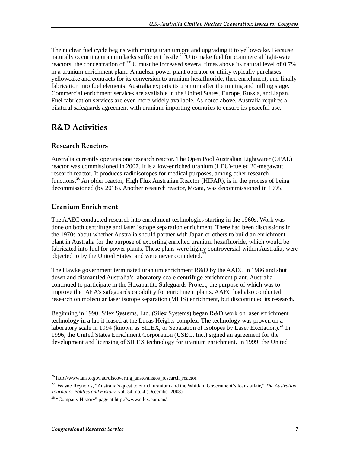The nuclear fuel cycle begins with mining uranium ore and upgrading it to yellowcake. Because naturally occurring uranium lacks sufficient fissile  $^{235}$ U to make fuel for commercial light-water reactors, the concentration of <sup>235</sup>U must be increased several times above its natural level of 0.7% in a uranium enrichment plant. A nuclear power plant operator or utility typically purchases yellowcake and contracts for its conversion to uranium hexafluoride, then enrichment, and finally fabrication into fuel elements. Australia exports its uranium after the mining and milling stage. Commercial enrichment services are available in the United States, Europe, Russia, and Japan. Fuel fabrication services are even more widely available. As noted above, Australia requires a bilateral safeguards agreement with uranium-importing countries to ensure its peaceful use.

#### **R&D Activities**

#### **Research Reactors**

Australia currently operates one research reactor. The Open Pool Australian Lightwater (OPAL) reactor was commissioned in 2007. It is a low-enriched uranium (LEU)-fueled 20-megawatt research reactor. It produces radioisotopes for medical purposes, among other research functions.<sup>26</sup> An older reactor, High Flux Australian Reactor (HIFAR), is in the process of being decommissioned (by 2018). Another research reactor, Moata, was decommissioned in 1995.

#### **Uranium Enrichment**

The AAEC conducted research into enrichment technologies starting in the 1960s. Work was done on both centrifuge and laser isotope separation enrichment. There had been discussions in the 1970s about whether Australia should partner with Japan or others to build an enrichment plant in Australia for the purpose of exporting enriched uranium hexafluoride, which would be fabricated into fuel for power plants. These plans were highly controversial within Australia, were objected to by the United States, and were never completed.<sup>27</sup>

The Hawke government terminated uranium enrichment R&D by the AAEC in 1986 and shut down and dismantled Australia's laboratory-scale centrifuge enrichment plant. Australia continued to participate in the Hexapartite Safeguards Project, the purpose of which was to improve the IAEA's safeguards capability for enrichment plants. AAEC had also conducted research on molecular laser isotope separation (MLIS) enrichment, but discontinued its research.

Beginning in 1990, Silex Systems, Ltd. (Silex Systems) began R&D work on laser enrichment technology in a lab it leased at the Lucas Heights complex. The technology was proven on a laboratory scale in 1994 (known as SILEX, or Separation of Isotopes by Laser Excitation).<sup>28</sup> In 1996, the United States Enrichment Corporation (USEC, Inc.) signed an agreement for the development and licensing of SILEX technology for uranium enrichment. In 1999, the United

<sup>-</sup><sup>26</sup> http://www.ansto.gov.au/discovering\_ansto/anstos\_research\_reactor.

<sup>27</sup> Wayne Reynolds, "Australia's quest to enrich uranium and the Whitlam Government's loans affair," *The Australian Journal of Politics and History*, vol. 54, no. 4 (December 2008).

<sup>28 &</sup>quot;Company History" page at http://www.silex.com.au/.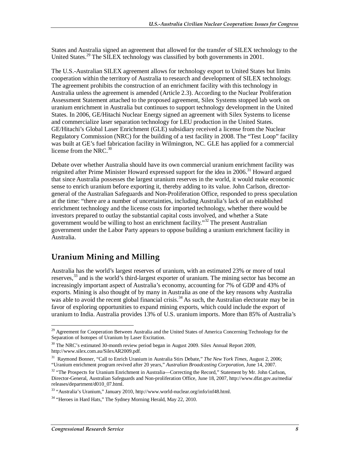States and Australia signed an agreement that allowed for the transfer of SILEX technology to the United States.<sup>29</sup> The SILEX technology was classified by both governments in 2001.

The U.S.-Australian SILEX agreement allows for technology export to United States but limits cooperation within the territory of Australia to research and development of SILEX technology. The agreement prohibits the construction of an enrichment facility with this technology in Australia unless the agreement is amended (Article 2.3). According to the Nuclear Proliferation Assessment Statement attached to the proposed agreement, Silex Systems stopped lab work on uranium enrichment in Australia but continues to support technology development in the United States. In 2006, GE/Hitachi Nuclear Energy signed an agreement with Silex Systems to license and commercialize laser separation technology for LEU production in the United States. GE/Hitachi's Global Laser Enrichment (GLE) subsidiary received a license from the Nuclear Regulatory Commission (NRC) for the building of a test facility in 2008. The "Test Loop" facility was built at GE's fuel fabrication facility in Wilmington, NC. GLE has applied for a commercial license from the NRC. $30$ 

Debate over whether Australia should have its own commercial uranium enrichment facility was reignited after Prime Minister Howard expressed support for the idea in 2006.<sup>31</sup> Howard argued that since Australia possesses the largest uranium reserves in the world, it would make economic sense to enrich uranium before exporting it, thereby adding to its value. John Carlson, directorgeneral of the Australian Safeguards and Non-Proliferation Office, responded to press speculation at the time: "there are a number of uncertainties, including Australia's lack of an established enrichment technology and the license costs for imported technology, whether there would be investors prepared to outlay the substantial capital costs involved, and whether a State government would be willing to host an enrichment facility."32 The present Australian government under the Labor Party appears to oppose building a uranium enrichment facility in Australia.

#### **Uranium Mining and Milling**

Australia has the world's largest reserves of uranium, with an estimated 23% or more of total reserves,<sup>33</sup> and is the world's third-largest exporter of uranium. The mining sector has become an increasingly important aspect of Australia's economy, accounting for 7% of GDP and 43% of exports. Mining is also thought of by many in Australia as one of the key reasons why Australia was able to avoid the recent global financial crisis.<sup>34</sup> As such, the Australian electorate may be in favor of exploring opportunities to expand mining exports, which could include the export of uranium to India. Australia provides 13% of U.S. uranium imports. More than 85% of Australia's

<sup>-</sup><sup>29</sup> Agreement for Cooperation Between Australia and the United States of America Concerning Technology for the Separation of Isotopes of Uranium by Laser Excitation.

<sup>&</sup>lt;sup>30</sup> The NRC's estimated 30-month review period began in August 2009. Silex Annual Report 2009, http://www.silex.com.au/SilexAR2009.pdf.

<sup>31</sup> Raymond Bonner, "Call to Enrich Uranium in Australia Stirs Debate," *The New York Times*, August 2, 2006; "Uranium enrichment program revived after 20 years," *Australian Broadcasting Corporation*, June 14, 2007.

 $32$  "The Prospects for Uranium Enrichment in Australia—Correcting the Record," Statement by Mr. John Carlson, Director-General, Australian Safeguards and Non-proliferation Office, June 18, 2007, http://www.dfat.gov.au/media/ releases/department/d010\_07.html.

<sup>33 &</sup>quot;Australia's Uranium," January 2010, http://www.world-nuclear.org/info/inf48.html.

<sup>&</sup>lt;sup>34</sup> "Heroes in Hard Hats," The Sydney Morning Herald, May 22, 2010.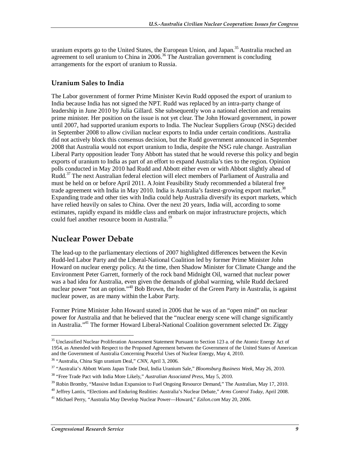uranium exports go to the United States, the European Union, and Japan.<sup>35</sup> Australia reached an agreement to sell uranium to China in  $2006$ .<sup>36</sup> The Australian government is concluding arrangements for the export of uranium to Russia.

#### **Uranium Sales to India**

The Labor government of former Prime Minister Kevin Rudd opposed the export of uranium to India because India has not signed the NPT. Rudd was replaced by an intra-party change of leadership in June 2010 by Julia Gillard. She subsequently won a national election and remains prime minister. Her position on the issue is not yet clear. The John Howard government, in power until 2007, had supported uranium exports to India. The Nuclear Suppliers Group (NSG) decided in September 2008 to allow civilian nuclear exports to India under certain conditions. Australia did not actively block this consensus decision, but the Rudd government announced in September 2008 that Australia would not export uranium to India, despite the NSG rule change. Australian Liberal Party opposition leader Tony Abbott has stated that he would reverse this policy and begin exports of uranium to India as part of an effort to expand Australia's ties to the region. Opinion polls conducted in May 2010 had Rudd and Abbott either even or with Abbott slightly ahead of Rudd.<sup>37</sup> The next Australian federal election will elect members of Parliament of Australia and must be held on or before April 2011. A Joint Feasibility Study recommended a bilateral free trade agreement with India in May 2010. India is Australia's fastest-growing export market.<sup>38</sup> Expanding trade and other ties with India could help Australia diversify its export markets, which have relied heavily on sales to China. Over the next 20 years, India will, according to some estimates, rapidly expand its middle class and embark on major infrastructure projects, which could fuel another resource boom in Australia.<sup>39</sup>

#### **Nuclear Power Debate**

The lead-up to the parliamentary elections of 2007 highlighted differences between the Kevin Rudd-led Labor Party and the Liberal-National Coalition led by former Prime Minister John Howard on nuclear energy policy. At the time, then Shadow Minister for Climate Change and the Environment Peter Garrett, formerly of the rock band Midnight Oil, warned that nuclear power was a bad idea for Australia, even given the demands of global warming, while Rudd declared nuclear power "not an option."<sup>40</sup> Bob Brown, the leader of the Green Party in Australia, is against nuclear power, as are many within the Labor Party.

Former Prime Minister John Howard stated in 2006 that he was of an "open mind" on nuclear power for Australia and that he believed that the "nuclear energy scene will change significantly in Australia."41 The former Howard Liberal-National Coalition government selected Dr. Ziggy

<sup>-</sup><sup>35</sup> Unclassified Nuclear Proliferation Assessment Statement Pursuant to Section 123 a. of the Atomic Energy Act of 1954, as Amended with Respect to the Proposed Agreement between the Government of the United States of American and the Government of Australia Concerning Peaceful Uses of Nuclear Energy, May 4, 2010.

<sup>36 &</sup>quot;Australia, China Sign uranium Deal," *CNN,* April 3, 2006. 37 "Australia's Abbott Wants Japan Trade Deal, India Uranium Sale," *Bloomsburg Business Week*, May 26, 2010.

<sup>38 &</sup>quot;Free Trade Pact with India More Likely," *Australian Associated Press,* May 5, 2010.

<sup>&</sup>lt;sup>39</sup> Robin Bromby, "Massive Indian Expansion to Fuel Ongoing Resource Demand," The Australian, May 17, 2010.

<sup>40</sup> Jeffrey Lantis, "Elections and Enduring Realities: Australia's Nuclear Debate," *Arms Control Today*, April 2008.

<sup>41</sup> Michael Perry, "Australia May Develop Nuclear Power—Howard," *Ezilon.com* May 20, 2006.